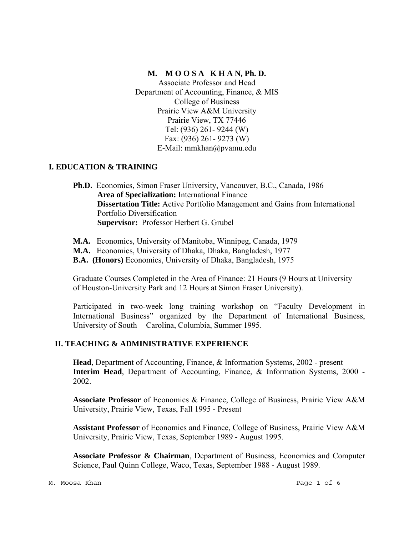### **M. M O O S A K H A N, Ph. D.**

Associate Professor and Head Department of Accounting, Finance, & MIS College of Business Prairie View A&M University Prairie View, TX 77446 Tel: (936) 261- 9244 (W) Fax: (936) 261- 9273 (W) E-Mail: mmkhan@pvamu.edu

## **I. EDUCATION & TRAINING**

**Ph.D.** Economics, Simon Fraser University, Vancouver, B.C., Canada, 1986 **Area of Specialization:** International Finance **Dissertation Title:** Active Portfolio Management and Gains from International Portfolio Diversification **Supervisor:** Professor Herbert G. Grubel

- **M.A.** Economics, University of Manitoba, Winnipeg, Canada, 1979
- **M.A.** Economics, University of Dhaka, Dhaka, Bangladesh, 1977
- **B.A. (Honors)** Economics, University of Dhaka, Bangladesh, 1975

 Graduate Courses Completed in the Area of Finance: 21 Hours (9 Hours at University of Houston-University Park and 12 Hours at Simon Fraser University).

Participated in two-week long training workshop on "Faculty Development in International Business" organized by the Department of International Business, University of South Carolina, Columbia, Summer 1995.

## **II. TEACHING & ADMINISTRATIVE EXPERIENCE**

 **Head**, Department of Accounting, Finance, & Information Systems, 2002 - present **Interim Head**, Department of Accounting, Finance, & Information Systems, 2000 -2002.

**Associate Professor** of Economics & Finance, College of Business, Prairie View A&M University, Prairie View, Texas, Fall 1995 - Present

**Assistant Professor** of Economics and Finance, College of Business, Prairie View A&M University, Prairie View, Texas, September 1989 - August 1995.

**Associate Professor & Chairman**, Department of Business, Economics and Computer Science, Paul Quinn College, Waco, Texas, September 1988 - August 1989.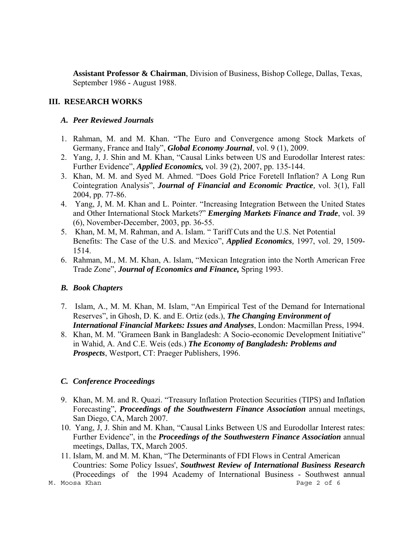**Assistant Professor & Chairman**, Division of Business, Bishop College, Dallas, Texas, September 1986 - August 1988.

### **III. RESEARCH WORKS**

#### *A. Peer Reviewed Journals*

- 1. Rahman, M. and M. Khan. "The Euro and Convergence among Stock Markets of Germany, France and Italy", *Global Economy Journal*, vol. 9 (1), 2009.
- 2. Yang, J, J. Shin and M. Khan, "Causal Links between US and Eurodollar Interest rates: Further Evidence", *Applied Economics,* vol. 39 (2), 2007, pp. 135-144.
- 3. Khan, M. M. and Syed M. Ahmed. "Does Gold Price Foretell Inflation? A Long Run Cointegration Analysis", *Journal of Financial and Economic Practice,* vol. 3(1), Fall 2004, pp. 77-86.
- 4. Yang, J, M. M. Khan and L. Pointer. "Increasing Integration Between the United States and Other International Stock Markets?" *Emerging Markets Finance and Trade*, vol. 39 (6), November-December, 2003, pp. 36-55.
- 5. Khan, M. M, M. Rahman, and A. Islam. " Tariff Cuts and the U.S. Net Potential Benefits: The Case of the U.S. and Mexico", *Applied Economics,* 1997, vol. 29, 1509- 1514.
- 6. Rahman, M., M. M. Khan, A. Islam, "Mexican Integration into the North American Free Trade Zone", *Journal of Economics and Finance,* Spring 1993.

## *B. Book Chapters*

- 7. Islam, A., M. M. Khan, M. Islam, "An Empirical Test of the Demand for International Reserves", in Ghosh, D. K. and E. Ortiz (eds.), *The Changing Environment of International Financial Markets: Issues and Analyses*, London: Macmillan Press, 1994.
- 8. Khan, M. M. "Grameen Bank in Bangladesh: A Socio-economic Development Initiative" in Wahid, A. And C.E. Weis (eds.) *The Economy of Bangladesh: Problems and Prospects*, Westport, CT: Praeger Publishers, 1996.

## *C. Conference Proceedings*

- 9. Khan, M. M. and R. Quazi. "Treasury Inflation Protection Securities (TIPS) and Inflation Forecasting", *Proceedings of the Southwestern Finance Association* annual meetings, San Diego, CA, March 2007.
- 10. Yang, J, J. Shin and M. Khan, "Causal Links Between US and Eurodollar Interest rates: Further Evidence", in the *Proceedings of the Southwestern Finance Association* annual meetings, Dallas, TX, March 2005.
- M. Moosa Khan Page 2 of 6 11. Islam, M. and M. M. Khan, "The Determinants of FDI Flows in Central American Countries: Some Policy Issues', *Southwest Review of International Business Research* (Proceedings of the 1994 Academy of International Business - Southwest annual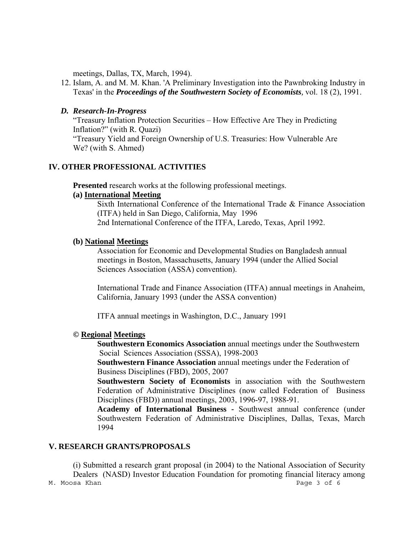meetings, Dallas, TX, March, 1994).

12. Islam, A. and M. M. Khan. 'A Preliminary Investigation into the Pawnbroking Industry in Texas' in the *Proceedings of the Southwestern Society of Economists,* vol. 18 (2), 1991.

### *D. Research-In-Progress*

 "Treasury Inflation Protection Securities – How Effective Are They in Predicting Inflation?" (with R. Quazi) "Treasury Yield and Foreign Ownership of U.S. Treasuries: How Vulnerable Are We? (with S. Ahmed)

### **IV. OTHER PROFESSIONAL ACTIVITIES**

**Presented** research works at the following professional meetings.

#### **(a) International Meeting**

Sixth International Conference of the International Trade & Finance Association (ITFA) held in San Diego, California, May 1996 2nd International Conference of the ITFA, Laredo, Texas, April 1992.

#### **(b) National Meetings**

Association for Economic and Developmental Studies on Bangladesh annual meetings in Boston, Massachusetts, January 1994 (under the Allied Social Sciences Association (ASSA) convention).

International Trade and Finance Association (ITFA) annual meetings in Anaheim, California, January 1993 (under the ASSA convention)

ITFA annual meetings in Washington, D.C., January 1991

### **© Regional Meetings**

 **Southwestern Economics Association** annual meetings under the Southwestern Social Sciences Association (SSSA), 1998-2003

 **Southwestern Finance Association** annual meetings under the Federation of Business Disciplines (FBD), 2005, 2007

**Southwestern Society of Economists** in association with the Southwestern Federation of Administrative Disciplines (now called Federation of Business Disciplines (FBD)) annual meetings, 2003, 1996-97, 1988-91.

**Academy of International Business -** Southwest annual conference (under Southwestern Federation of Administrative Disciplines, Dallas, Texas, March 1994

#### **V. RESEARCH GRANTS/PROPOSALS**

M. Moosa Khan Page 3 of 6 (i) Submitted a research grant proposal (in 2004) to the National Association of Security Dealers (NASD) Investor Education Foundation for promoting financial literacy among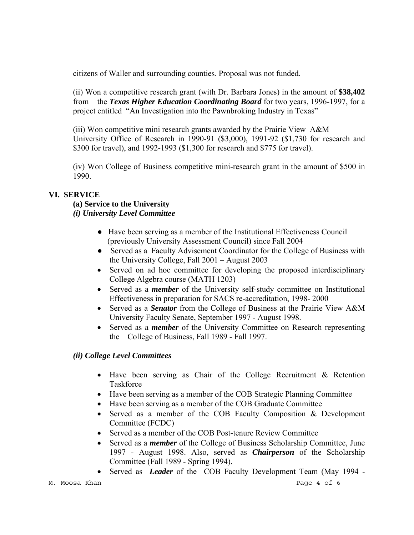citizens of Waller and surrounding counties. Proposal was not funded.

(ii) Won a competitive research grant (with Dr. Barbara Jones) in the amount of **\$38,402** from the *Texas Higher Education Coordinating Board* for two years, 1996-1997, for a project entitled "An Investigation into the Pawnbroking Industry in Texas"

(iii) Won competitive mini research grants awarded by the Prairie View A&M University Office of Research in 1990-91 (\$3,000), 1991-92 (\$1,730 for research and \$300 for travel), and 1992-1993 (\$1,300 for research and \$775 for travel).

(iv) Won College of Business competitive mini-research grant in the amount of \$500 in 1990.

## **VI. SERVICE**

## **(a) Service to the University**

# *(i) University Level Committee*

- Have been serving as a member of the Institutional Effectiveness Council (previously University Assessment Council) since Fall 2004
- Served as a Faculty Advisement Coordinator for the College of Business with the University College, Fall 2001 – August 2003
- Served on ad hoc committee for developing the proposed interdisciplinary College Algebra course (MATH 1203)
- Served as a *member* of the University self-study committee on Institutional Effectiveness in preparation for SACS re-accreditation, 1998- 2000
- Served as a *Senator* from the College of Business at the Prairie View A&M University Faculty Senate, September 1997 - August 1998.
- Served as a *member* of the University Committee on Research representing the College of Business, Fall 1989 - Fall 1997.

## *(ii) College Level Committees*

- Have been serving as Chair of the College Recruitment & Retention Taskforce
- Have been serving as a member of the COB Strategic Planning Committee
- Have been serving as a member of the COB Graduate Committee
- Served as a member of the COB Faculty Composition & Development Committee (FCDC)
- Served as a member of the COB Post-tenure Review Committee
- Served as a *member* of the College of Business Scholarship Committee, June 1997 - August 1998. Also, served as *Chairperson* of the Scholarship Committee (Fall 1989 - Spring 1994).
- Served as *Leader* of the COB Faculty Development Team (May 1994 -

M. Moosa Khan Page 4 of 6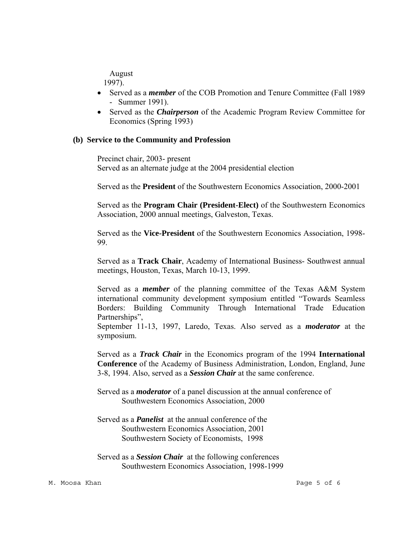August

1997).

- Served as a *member* of the COB Promotion and Tenure Committee (Fall 1989 - Summer 1991).
- Served as the *Chairperson* of the Academic Program Review Committee for Economics (Spring 1993)

#### **(b) Service to the Community and Profession**

Precinct chair, 2003- present Served as an alternate judge at the 2004 presidential election

Served as the **President** of the Southwestern Economics Association, 2000-2001

Served as the **Program Chair (President-Elect)** of the Southwestern Economics Association, 2000 annual meetings, Galveston, Texas.

Served as the **Vice-President** of the Southwestern Economics Association, 1998- 99.

Served as a **Track Chair**, Academy of International Business- Southwest annual meetings, Houston, Texas, March 10-13, 1999.

Served as a *member* of the planning committee of the Texas A&M System international community development symposium entitled "Towards Seamless Borders: Building Community Through International Trade Education Partnerships",

September 11-13, 1997, Laredo, Texas. Also served as a *moderator* at the symposium.

Served as a *Track Chair* in the Economics program of the 1994 **International Conference** of the Academy of Business Administration, London, England, June 3-8, 1994. Also, served as a *Session Chair* at the same conference.

Served as a *moderator* of a panel discussion at the annual conference of Southwestern Economics Association, 2000

Served as a *Panelist* at the annual conference of the Southwestern Economics Association, 2001 Southwestern Society of Economists, 1998

Served as a *Session Chair* at the following conferences Southwestern Economics Association, 1998-1999